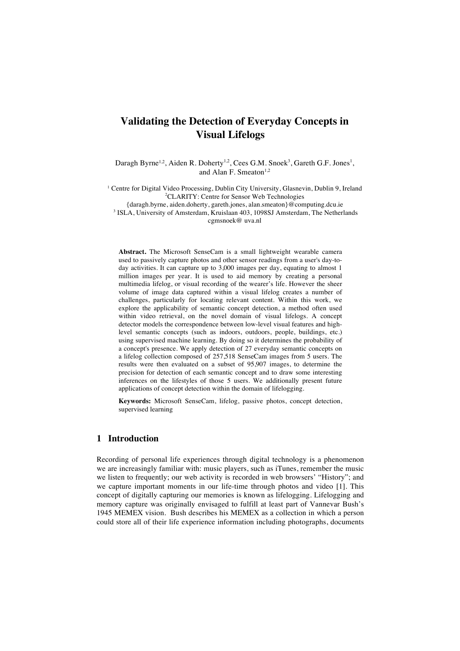# **Validating the Detection of Everyday Concepts in Visual Lifelogs**

Daragh Byrne<sup>1,2</sup>, Aiden R. Doherty<sup>1,2</sup>, Cees G.M. Snoek<sup>3</sup>, Gareth G.F. Jones<sup>1</sup>, and Alan F. Smeaton<sup>1,2</sup>

<sup>1</sup> Centre for Digital Video Processing, Dublin City University, Glasnevin, Dublin 9, Ireland 2 CLARITY: Centre for Sensor Web Technologies

{daragh.byrne, aiden.doherty, gareth.jones, alan.smeaton}@computing.dcu.ie <sup>3</sup> ISLA, University of Amsterdam, Kruislaan 403, 1098SJ Amsterdam, The Netherlands cgmsnoek@ uva.nl

**Abstract.** The Microsoft SenseCam is a small lightweight wearable camera used to passively capture photos and other sensor readings from a user's day-today activities. It can capture up to 3,000 images per day, equating to almost 1 million images per year. It is used to aid memory by creating a personal multimedia lifelog, or visual recording of the wearer's life. However the sheer volume of image data captured within a visual lifelog creates a number of challenges, particularly for locating relevant content. Within this work, we explore the applicability of semantic concept detection, a method often used within video retrieval, on the novel domain of visual lifelogs. A concept detector models the correspondence between low-level visual features and highlevel semantic concepts (such as indoors, outdoors, people, buildings, etc.) using supervised machine learning. By doing so it determines the probability of a concept's presence. We apply detection of 27 everyday semantic concepts on a lifelog collection composed of 257,518 SenseCam images from 5 users. The results were then evaluated on a subset of 95,907 images, to determine the precision for detection of each semantic concept and to draw some interesting inferences on the lifestyles of those 5 users. We additionally present future applications of concept detection within the domain of lifelogging.

**Keywords:** Microsoft SenseCam, lifelog, passive photos, concept detection, supervised learning

# **1 Introduction**

Recording of personal life experiences through digital technology is a phenomenon we are increasingly familiar with: music players, such as iTunes, remember the music we listen to frequently; our web activity is recorded in web browsers' "History"; and we capture important moments in our life-time through photos and video [1]. This concept of digitally capturing our memories is known as lifelogging. Lifelogging and memory capture was originally envisaged to fulfill at least part of Vannevar Bush's 1945 MEMEX vision. Bush describes his MEMEX as a collection in which a person could store all of their life experience information including photographs, documents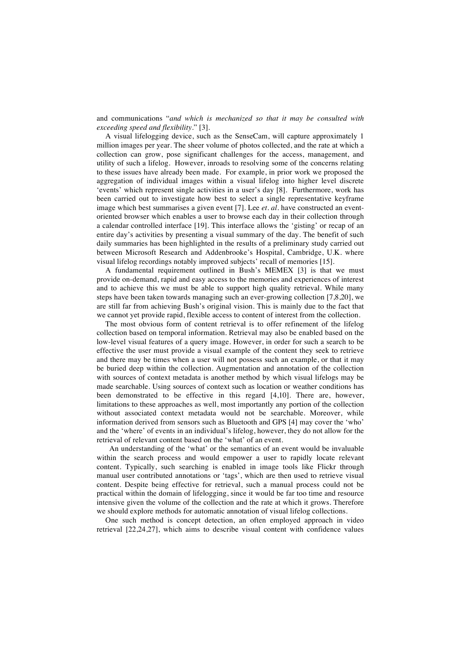and communications "*and which is mechanized so that it may be consulted with exceeding speed and flexibility.*" [3].

A visual lifelogging device, such as the SenseCam, will capture approximately 1 million images per year. The sheer volume of photos collected, and the rate at which a collection can grow, pose significant challenges for the access, management, and utility of such a lifelog. However, inroads to resolving some of the concerns relating to these issues have already been made. For example, in prior work we proposed the aggregation of individual images within a visual lifelog into higher level discrete 'events' which represent single activities in a user's day [8]. Furthermore, work has been carried out to investigate how best to select a single representative keyframe image which best summarises a given event [7]. Lee *et. al.* have constructed an eventoriented browser which enables a user to browse each day in their collection through a calendar controlled interface [19]. This interface allows the 'gisting' or recap of an entire day's activities by presenting a visual summary of the day. The benefit of such daily summaries has been highlighted in the results of a preliminary study carried out between Microsoft Research and Addenbrooke's Hospital, Cambridge, U.K. where visual lifelog recordings notably improved subjects' recall of memories [15].

A fundamental requirement outlined in Bush's MEMEX [3] is that we must provide on-demand, rapid and easy access to the memories and experiences of interest and to achieve this we must be able to support high quality retrieval. While many steps have been taken towards managing such an ever-growing collection [7,8,20], we are still far from achieving Bush's original vision. This is mainly due to the fact that we cannot yet provide rapid, flexible access to content of interest from the collection.

The most obvious form of content retrieval is to offer refinement of the lifelog collection based on temporal information. Retrieval may also be enabled based on the low-level visual features of a query image. However, in order for such a search to be effective the user must provide a visual example of the content they seek to retrieve and there may be times when a user will not possess such an example, or that it may be buried deep within the collection. Augmentation and annotation of the collection with sources of context metadata is another method by which visual lifelogs may be made searchable. Using sources of context such as location or weather conditions has been demonstrated to be effective in this regard [4,10]. There are, however, limitations to these approaches as well, most importantly any portion of the collection without associated context metadata would not be searchable. Moreover, while information derived from sensors such as Bluetooth and GPS [4] may cover the 'who' and the 'where' of events in an individual's lifelog, however, they do not allow for the retrieval of relevant content based on the 'what' of an event.

 An understanding of the 'what' or the semantics of an event would be invaluable within the search process and would empower a user to rapidly locate relevant content. Typically, such searching is enabled in image tools like Flickr through manual user contributed annotations or 'tags', which are then used to retrieve visual content. Despite being effective for retrieval, such a manual process could not be practical within the domain of lifelogging, since it would be far too time and resource intensive given the volume of the collection and the rate at which it grows. Therefore we should explore methods for automatic annotation of visual lifelog collections.

One such method is concept detection, an often employed approach in video retrieval [22,24,27], which aims to describe visual content with confidence values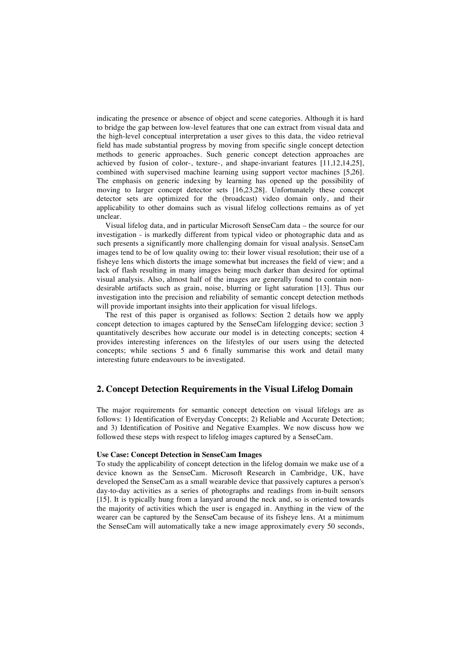indicating the presence or absence of object and scene categories. Although it is hard to bridge the gap between low-level features that one can extract from visual data and the high-level conceptual interpretation a user gives to this data, the video retrieval field has made substantial progress by moving from specific single concept detection methods to generic approaches. Such generic concept detection approaches are achieved by fusion of color-, texture-, and shape-invariant features [11,12,14,25], combined with supervised machine learning using support vector machines [5,26]. The emphasis on generic indexing by learning has opened up the possibility of moving to larger concept detector sets [16,23,28]. Unfortunately these concept detector sets are optimized for the (broadcast) video domain only, and their applicability to other domains such as visual lifelog collections remains as of yet unclear.

Visual lifelog data, and in particular Microsoft SenseCam data – the source for our investigation - is markedly different from typical video or photographic data and as such presents a significantly more challenging domain for visual analysis. SenseCam images tend to be of low quality owing to: their lower visual resolution; their use of a fisheye lens which distorts the image somewhat but increases the field of view; and a lack of flash resulting in many images being much darker than desired for optimal visual analysis. Also, almost half of the images are generally found to contain nondesirable artifacts such as grain, noise, blurring or light saturation [13]. Thus our investigation into the precision and reliability of semantic concept detection methods will provide important insights into their application for visual lifelogs.

The rest of this paper is organised as follows: Section 2 details how we apply concept detection to images captured by the SenseCam lifelogging device; section 3 quantitatively describes how accurate our model is in detecting concepts; section 4 provides interesting inferences on the lifestyles of our users using the detected concepts; while sections 5 and 6 finally summarise this work and detail many interesting future endeavours to be investigated.

### **2. Concept Detection Requirements in the Visual Lifelog Domain**

The major requirements for semantic concept detection on visual lifelogs are as follows: 1) Identification of Everyday Concepts; 2) Reliable and Accurate Detection; and 3) Identification of Positive and Negative Examples. We now discuss how we followed these steps with respect to lifelog images captured by a SenseCam.

#### **Use Case: Concept Detection in SenseCam Images**

To study the applicability of concept detection in the lifelog domain we make use of a device known as the SenseCam. Microsoft Research in Cambridge, UK, have developed the SenseCam as a small wearable device that passively captures a person's day-to-day activities as a series of photographs and readings from in-built sensors [15]. It is typically hung from a lanyard around the neck and, so is oriented towards the majority of activities which the user is engaged in. Anything in the view of the wearer can be captured by the SenseCam because of its fisheye lens. At a minimum the SenseCam will automatically take a new image approximately every 50 seconds,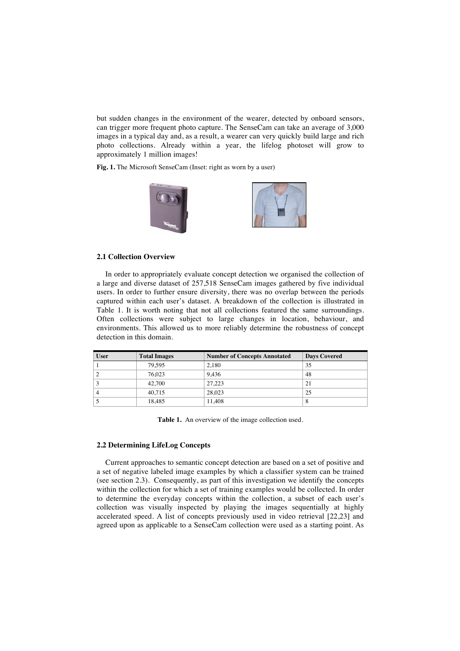but sudden changes in the environment of the wearer, detected by onboard sensors, can trigger more frequent photo capture. The SenseCam can take an average of 3,000 images in a typical day and, as a result, a wearer can very quickly build large and rich photo collections. Already within a year, the lifelog photoset will grow to approximately 1 million images!

**Fig. 1.** The Microsoft SenseCam (Inset: right as worn by a user)



#### **2.1 Collection Overview**

In order to appropriately evaluate concept detection we organised the collection of a large and diverse dataset of 257,518 SenseCam images gathered by five individual users. In order to further ensure diversity, there was no overlap between the periods captured within each user's dataset. A breakdown of the collection is illustrated in Table 1. It is worth noting that not all collections featured the same surroundings. Often collections were subject to large changes in location, behaviour, and environments. This allowed us to more reliably determine the robustness of concept detection in this domain.

| <b>User</b> | <b>Total Images</b> | <b>Number of Concepts Annotated</b> | <b>Days Covered</b> |
|-------------|---------------------|-------------------------------------|---------------------|
|             | 79.595              | 2.180                               | 35                  |
|             | 76.023              | 9.436                               | 48                  |
|             | 42,700              | 27.223                              | 21                  |
|             | 40.715              | 28,023                              | 25                  |
|             | 18.485              | 11.408                              | Ō                   |

**Table 1.** An overview of the image collection used.

#### **2.2 Determining LifeLog Concepts**

Current approaches to semantic concept detection are based on a set of positive and a set of negative labeled image examples by which a classifier system can be trained (see section 2.3). Consequently, as part of this investigation we identify the concepts within the collection for which a set of training examples would be collected. In order to determine the everyday concepts within the collection, a subset of each user's collection was visually inspected by playing the images sequentially at highly accelerated speed. A list of concepts previously used in video retrieval [22,23] and agreed upon as applicable to a SenseCam collection were used as a starting point. As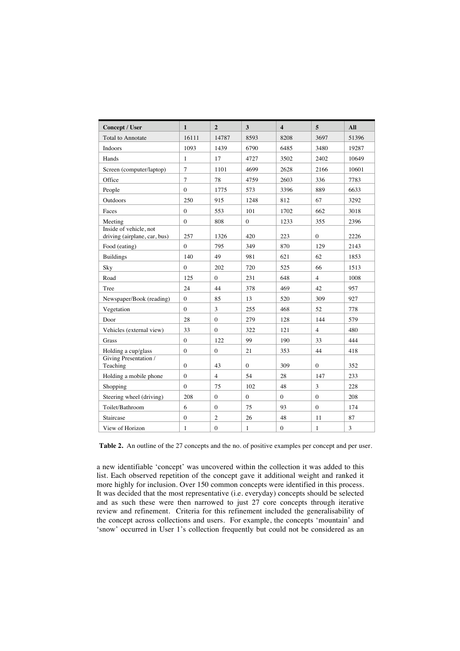| Concept / User                                         | 1              | $\overline{2}$ | 3                | $\overline{\mathbf{4}}$ | 5              | All            |
|--------------------------------------------------------|----------------|----------------|------------------|-------------------------|----------------|----------------|
| <b>Total to Annotate</b>                               | 16111          | 14787          | 8593             | 8208                    | 3697           | 51396          |
| Indoors                                                | 1093           | 1439           | 6790             | 6485                    | 3480           | 19287          |
| Hands                                                  | 1              | 17             | 4727             | 3502                    | 2402           | 10649          |
| Screen (computer/laptop)                               | $\overline{7}$ | 1101           | 4699             | 2628                    | 2166           | 10601          |
| Office                                                 | $\overline{7}$ | 78             | 4759             | 2603                    | 336            | 7783           |
| People                                                 | $\theta$       | 1775           | 573              | 3396                    | 889            | 6633           |
| Outdoors                                               | 250            | 915            | 1248             | 812                     | 67             | 3292           |
| Faces                                                  | $\Omega$       | 553            | 101              | 1702                    | 662            | 3018           |
| Meeting                                                | $\mathbf{0}$   | 808            | $\boldsymbol{0}$ | 1233                    | 355            | 2396           |
| Inside of vehicle, not<br>driving (airplane, car, bus) | 257            | 1326           | 420              | 223                     | $\mathbf{0}$   | 2226           |
| Food (eating)                                          | $\theta$       | 795            | 349              | 870                     | 129            | 2143           |
| <b>Buildings</b>                                       | 140            | 49             | 981              | 621                     | 62             | 1853           |
| Sky                                                    | $\Omega$       | 202            | 720              | 525                     | 66             | 1513           |
| Road                                                   | 125            | $\overline{0}$ | 231              | 648                     | $\overline{4}$ | 1008           |
| Tree                                                   | 24             | 44             | 378              | 469                     | 42             | 957            |
| Newspaper/Book (reading)                               | $\mathbf{0}$   | 85             | 13               | 520                     | 309            | 927            |
| Vegetation                                             | $\Omega$       | 3              | 255              | 468                     | 52             | 778            |
| Door                                                   | 28             | $\Omega$       | 279              | 128                     | 144            | 579            |
| Vehicles (external view)                               | 33             | $\theta$       | 322              | 121                     | $\overline{4}$ | 480            |
| Grass                                                  | $\mathbf{0}$   | 122            | 99               | 190                     | 33             | 444            |
| Holding a cup/glass                                    | $\Omega$       | $\mathbf{0}$   | 21               | 353                     | 44             | 418            |
| Giving Presentation /<br>Teaching                      | $\Omega$       | 43             | $\overline{0}$   | 309                     | $\Omega$       | 352            |
| Holding a mobile phone                                 | $\theta$       | $\overline{4}$ | 54               | 28                      | 147            | 233            |
| Shopping                                               | $\theta$       | 75             | 102              | 48                      | 3              | 228            |
| Steering wheel (driving)                               | 208            | $\theta$       | $\overline{0}$   | $\Omega$                | $\theta$       | 208            |
| Toilet/Bathroom                                        | 6              | $\mathbf{0}$   | 75               | 93                      | $\theta$       | 174            |
| Staircase                                              | $\theta$       | $\overline{c}$ | 26               | 48                      | 11             | 87             |
| View of Horizon                                        | 1              | $\mathbf{0}$   | $\mathbf{1}$     | $\mathbf{0}$            | $\mathbf{1}$   | $\mathfrak{Z}$ |

Table 2. An outline of the 27 concepts and the no. of positive examples per concept and per user.

a new identifiable 'concept' was uncovered within the collection it was added to this list. Each observed repetition of the concept gave it additional weight and ranked it more highly for inclusion. Over 150 common concepts were identified in this process. It was decided that the most representative (i.e. everyday) concepts should be selected and as such these were then narrowed to just 27 core concepts through iterative review and refinement. Criteria for this refinement included the generalisability of the concept across collections and users. For example, the concepts 'mountain' and 'snow' occurred in User 1's collection frequently but could not be considered as an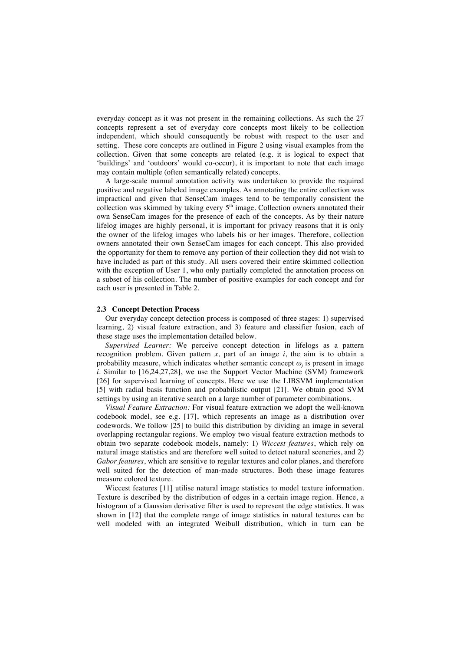everyday concept as it was not present in the remaining collections. As such the 27 concepts represent a set of everyday core concepts most likely to be collection independent, which should consequently be robust with respect to the user and setting. These core concepts are outlined in Figure 2 using visual examples from the collection. Given that some concepts are related (e.g. it is logical to expect that 'buildings' and 'outdoors' would co-occur), it is important to note that each image may contain multiple (often semantically related) concepts.

A large-scale manual annotation activity was undertaken to provide the required positive and negative labeled image examples. As annotating the entire collection was impractical and given that SenseCam images tend to be temporally consistent the collection was skimmed by taking every  $5<sup>th</sup>$  image. Collection owners annotated their own SenseCam images for the presence of each of the concepts. As by their nature lifelog images are highly personal, it is important for privacy reasons that it is only the owner of the lifelog images who labels his or her images. Therefore, collection owners annotated their own SenseCam images for each concept. This also provided the opportunity for them to remove any portion of their collection they did not wish to have included as part of this study. All users covered their entire skimmed collection with the exception of User 1, who only partially completed the annotation process on a subset of his collection. The number of positive examples for each concept and for each user is presented in Table 2.

#### **2.3 Concept Detection Process**

Our everyday concept detection process is composed of three stages: 1) supervised learning, 2) visual feature extraction, and 3) feature and classifier fusion, each of these stage uses the implementation detailed below.

*Supervised Learner:* We perceive concept detection in lifelogs as a pattern recognition problem. Given pattern  $x$ , part of an image  $i$ , the aim is to obtain a probability measure, which indicates whether semantic concept  $\omega_j$  is present in image *i.* Similar to [16,24,27,28], we use the Support Vector Machine (SVM) framework [26] for supervised learning of concepts. Here we use the LIBSVM implementation [5] with radial basis function and probabilistic output [21]. We obtain good SVM settings by using an iterative search on a large number of parameter combinations.

*Visual Feature Extraction:* For visual feature extraction we adopt the well-known codebook model, see e.g. [17], which represents an image as a distribution over codewords. We follow [25] to build this distribution by dividing an image in several overlapping rectangular regions. We employ two visual feature extraction methods to obtain two separate codebook models, namely: 1) *Wiccest features*, which rely on natural image statistics and are therefore well suited to detect natural sceneries, and 2) *Gabor features*, which are sensitive to regular textures and color planes, and therefore well suited for the detection of man-made structures. Both these image features measure colored texture.

Wiccest features [11] utilise natural image statistics to model texture information. Texture is described by the distribution of edges in a certain image region. Hence, a histogram of a Gaussian derivative filter is used to represent the edge statistics. It was shown in [12] that the complete range of image statistics in natural textures can be well modeled with an integrated Weibull distribution, which in turn can be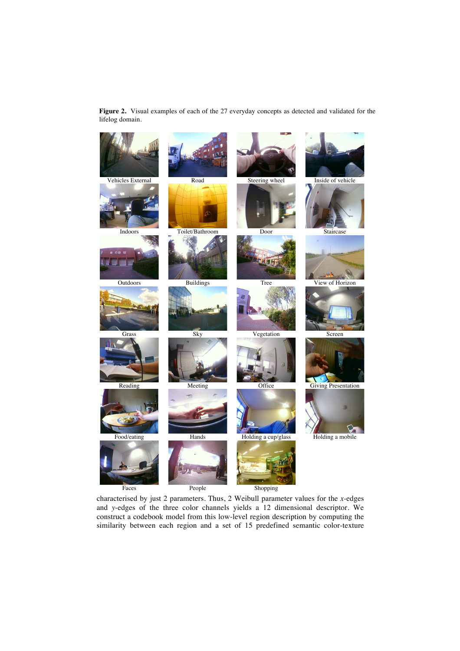**Figure 2.** Visual examples of each of the 27 everyday concepts as detected and validated for the lifelog domain.



characterised by just 2 parameters. Thus, 2 Weibull parameter values for the *x*-edges and *y*-edges of the three color channels yields a 12 dimensional descriptor. We construct a codebook model from this low-level region description by computing the similarity between each region and a set of 15 predefined semantic color-texture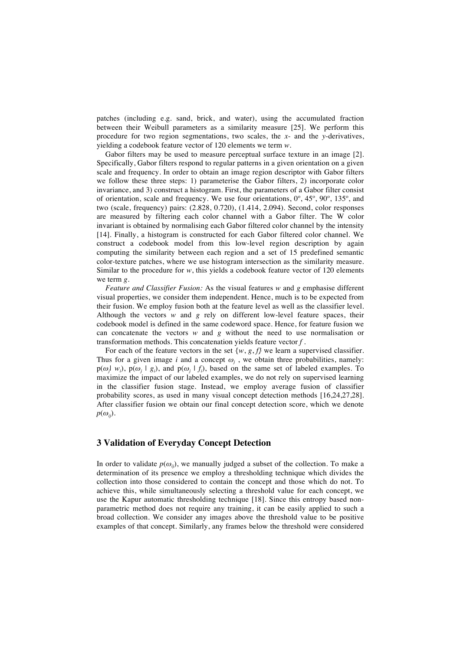patches (including e.g. sand, brick, and water), using the accumulated fraction between their Weibull parameters as a similarity measure [25]. We perform this procedure for two region segmentations, two scales, the *x*- and the *y*-derivatives, yielding a codebook feature vector of 120 elements we term *w*.

Gabor filters may be used to measure perceptual surface texture in an image [2]. Specifically, Gabor filters respond to regular patterns in a given orientation on a given scale and frequency. In order to obtain an image region descriptor with Gabor filters we follow these three steps: 1) parameterise the Gabor filters, 2) incorporate color invariance, and 3) construct a histogram. First, the parameters of a Gabor filter consist of orientation, scale and frequency. We use four orientations, 0º, 45º, 90º, 135º, and two (scale, frequency) pairs: (2.828, 0.720), (1.414, 2.094). Second, color responses are measured by filtering each color channel with a Gabor filter. The W color invariant is obtained by normalising each Gabor filtered color channel by the intensity [14]. Finally, a histogram is constructed for each Gabor filtered color channel. We construct a codebook model from this low-level region description by again computing the similarity between each region and a set of 15 predefined semantic color-texture patches, where we use histogram intersection as the similarity measure. Similar to the procedure for *w*, this yields a codebook feature vector of 120 elements we term *g*.

*Feature and Classifier Fusion:* As the visual features *w* and *g* emphasise different visual properties, we consider them independent. Hence, much is to be expected from their fusion. We employ fusion both at the feature level as well as the classifier level. Although the vectors *w* and *g* rely on different low-level feature spaces, their codebook model is defined in the same codeword space. Hence, for feature fusion we can concatenate the vectors *w* and *g* without the need to use normalisation or transformation methods. This concatenation yields feature vector *f* .

For each of the feature vectors in the set  $\{w, g, f\}$  we learn a supervised classifier. Thus for a given image *i* and a concept  $\omega_j$ , we obtain three probabilities, namely:  $p(\omega_j | w_i)$ ,  $p(\omega_j | g_i)$ , and  $p(\omega_j | f_i)$ , based on the same set of labeled examples. To maximize the impact of our labeled examples, we do not rely on supervised learning in the classifier fusion stage. Instead, we employ average fusion of classifier probability scores, as used in many visual concept detection methods [16,24,27,28]. After classifier fusion we obtain our final concept detection score, which we denote  $p(\omega_{ii})$ .

### **3 Validation of Everyday Concept Detection**

In order to validate  $p(\omega_{ii})$ , we manually judged a subset of the collection. To make a determination of its presence we employ a thresholding technique which divides the collection into those considered to contain the concept and those which do not. To achieve this, while simultaneously selecting a threshold value for each concept, we use the Kapur automatic thresholding technique [18]. Since this entropy based nonparametric method does not require any training, it can be easily applied to such a broad collection. We consider any images above the threshold value to be positive examples of that concept. Similarly, any frames below the threshold were considered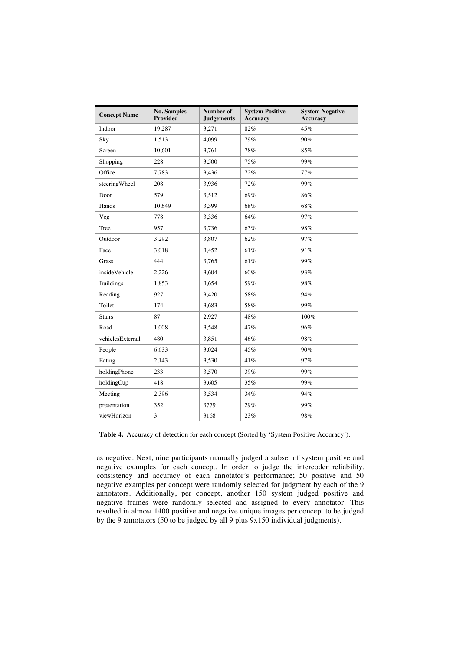| <b>Concept Name</b>   | <b>No. Samples</b><br><b>Provided</b> | Number of<br><b>Judgements</b> | <b>System Positive</b><br><b>Accuracy</b> | <b>System Negative</b><br><b>Accuracy</b> |  |
|-----------------------|---------------------------------------|--------------------------------|-------------------------------------------|-------------------------------------------|--|
| Indoor                | 19,287                                | 3,271                          | 82%                                       | 45%                                       |  |
| Sky                   | 1,513                                 | 4.099                          | 79%                                       | 90%                                       |  |
| Screen                | 10,601                                | 3,761                          | 78%                                       | 85%                                       |  |
| Shopping              | 228                                   | 3,500                          | 75%                                       | 99%                                       |  |
| Office                | 7,783                                 | 3,436                          | 72%                                       | 77%                                       |  |
| steeringWheel         | 208                                   | 3,936                          | 72%                                       | 99%                                       |  |
| Door                  | 579                                   | 3,512                          | 69%                                       | 86%                                       |  |
| Hands                 | 10,649                                | 3,399                          | 68%                                       | 68%                                       |  |
| Veg                   | 778                                   | 3,336                          | 64%                                       | 97%                                       |  |
| Tree                  | 957                                   | 3,736                          | 63%                                       | 98%                                       |  |
| Outdoor               | 3,292                                 | 3.807                          | 62%                                       | 97%                                       |  |
| Face                  | 3,018                                 | 3,452                          | 61%                                       | 91%                                       |  |
| Grass                 | 444                                   | 3,765                          | 61%                                       | 99%                                       |  |
| <i>inside</i> Vehicle | 2,226                                 | 3,604                          | 60%                                       | 93%                                       |  |
| <b>Buildings</b>      | 1,853                                 | 3.654                          | 59%                                       | 98%                                       |  |
| Reading               | 927                                   | 3,420                          | 58%                                       | 94%                                       |  |
| Toilet                | 174                                   | 3,683                          | 58%                                       | 99%                                       |  |
| <b>Stairs</b>         | 87                                    | 2,927                          | 48%                                       | 100%                                      |  |
| Road                  | 1,008                                 | 3,548                          | 47%                                       | 96%                                       |  |
| vehiclesExternal      | 480                                   | 3,851                          | 46%                                       | 98%                                       |  |
| People                | 6,633                                 | 3,024                          | 45%                                       | 90%                                       |  |
| Eating                | 2,143                                 | 3,530                          | 41%                                       | 97%                                       |  |
| holdingPhone          | 233                                   | 3,570                          | 39%                                       | 99%                                       |  |
| holdingCup            | 418                                   | 3,605                          | 35%                                       | 99%                                       |  |
| Meeting               | 2.396                                 | 3,534                          | 34%                                       | 94%                                       |  |
| presentation          | 352                                   | 3779                           | 29%                                       | 99%                                       |  |
| viewHorizon           | 3                                     | 3168                           | 23%                                       | 98%                                       |  |

**Table 4.** Accuracy of detection for each concept (Sorted by 'System Positive Accuracy').

as negative. Next, nine participants manually judged a subset of system positive and negative examples for each concept. In order to judge the intercoder reliability, consistency and accuracy of each annotator's performance; 50 positive and 50 negative examples per concept were randomly selected for judgment by each of the 9 annotators. Additionally, per concept, another 150 system judged positive and negative frames were randomly selected and assigned to every annotator. This resulted in almost 1400 positive and negative unique images per concept to be judged by the 9 annotators (50 to be judged by all 9 plus 9x150 individual judgments).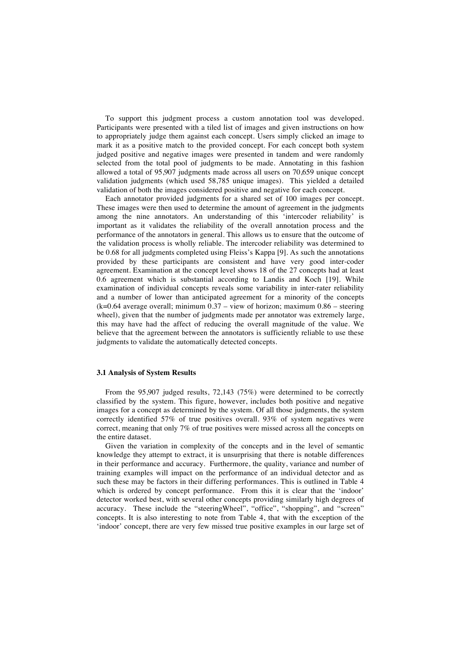To support this judgment process a custom annotation tool was developed. Participants were presented with a tiled list of images and given instructions on how to appropriately judge them against each concept. Users simply clicked an image to mark it as a positive match to the provided concept. For each concept both system judged positive and negative images were presented in tandem and were randomly selected from the total pool of judgments to be made. Annotating in this fashion allowed a total of 95,907 judgments made across all users on 70,659 unique concept validation judgments (which used 58,785 unique images). This yielded a detailed validation of both the images considered positive and negative for each concept.

Each annotator provided judgments for a shared set of 100 images per concept. These images were then used to determine the amount of agreement in the judgments among the nine annotators. An understanding of this 'intercoder reliability' is important as it validates the reliability of the overall annotation process and the performance of the annotators in general. This allows us to ensure that the outcome of the validation process is wholly reliable. The intercoder reliability was determined to be 0.68 for all judgments completed using Fleiss's Kappa [9]. As such the annotations provided by these participants are consistent and have very good inter-coder agreement. Examination at the concept level shows 18 of the 27 concepts had at least 0.6 agreement which is substantial according to Landis and Koch [19]. While examination of individual concepts reveals some variability in inter-rater reliability and a number of lower than anticipated agreement for a minority of the concepts  $(k=0.64$  average overall; minimum  $0.37 -$  view of horizon; maximum  $0.86 -$  steering wheel), given that the number of judgments made per annotator was extremely large, this may have had the affect of reducing the overall magnitude of the value. We believe that the agreement between the annotators is sufficiently reliable to use these judgments to validate the automatically detected concepts.

#### **3.1 Analysis of System Results**

From the 95,907 judged results, 72,143 (75%) were determined to be correctly classified by the system. This figure, however, includes both positive and negative images for a concept as determined by the system. Of all those judgments, the system correctly identified 57% of true positives overall. 93% of system negatives were correct, meaning that only 7% of true positives were missed across all the concepts on the entire dataset.

Given the variation in complexity of the concepts and in the level of semantic knowledge they attempt to extract, it is unsurprising that there is notable differences in their performance and accuracy. Furthermore, the quality, variance and number of training examples will impact on the performance of an individual detector and as such these may be factors in their differing performances. This is outlined in Table 4 which is ordered by concept performance. From this it is clear that the 'indoor' detector worked best, with several other concepts providing similarly high degrees of accuracy. These include the "steeringWheel", "office", "shopping", and "screen" concepts. It is also interesting to note from Table 4, that with the exception of the 'indoor' concept, there are very few missed true positive examples in our large set of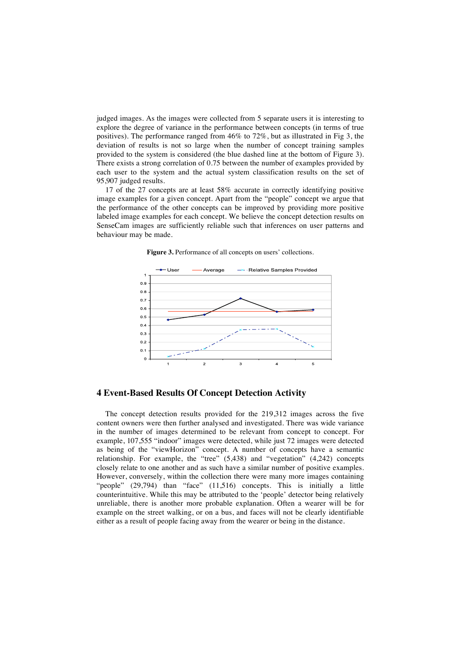judged images. As the images were collected from 5 separate users it is interesting to explore the degree of variance in the performance between concepts (in terms of true positives). The performance ranged from 46% to 72%, but as illustrated in Fig 3, the deviation of results is not so large when the number of concept training samples provided to the system is considered (the blue dashed line at the bottom of Figure 3). There exists a strong correlation of 0.75 between the number of examples provided by each user to the system and the actual system classification results on the set of 95,907 judged results.

17 of the 27 concepts are at least 58% accurate in correctly identifying positive image examples for a given concept. Apart from the "people" concept we argue that the performance of the other concepts can be improved by providing more positive labeled image examples for each concept. We believe the concept detection results on SenseCam images are sufficiently reliable such that inferences on user patterns and behaviour may be made.





### **4 Event-Based Results Of Concept Detection Activity**

The concept detection results provided for the 219,312 images across the five content owners were then further analysed and investigated. There was wide variance in the number of images determined to be relevant from concept to concept. For example, 107,555 "indoor" images were detected, while just 72 images were detected as being of the "viewHorizon" concept. A number of concepts have a semantic relationship. For example, the "tree" (5,438) and "vegetation" (4,242) concepts closely relate to one another and as such have a similar number of positive examples. However, conversely, within the collection there were many more images containing "people" (29,794) than "face" (11,516) concepts. This is initially a little counterintuitive. While this may be attributed to the 'people' detector being relatively unreliable, there is another more probable explanation. Often a wearer will be for example on the street walking, or on a bus, and faces will not be clearly identifiable either as a result of people facing away from the wearer or being in the distance.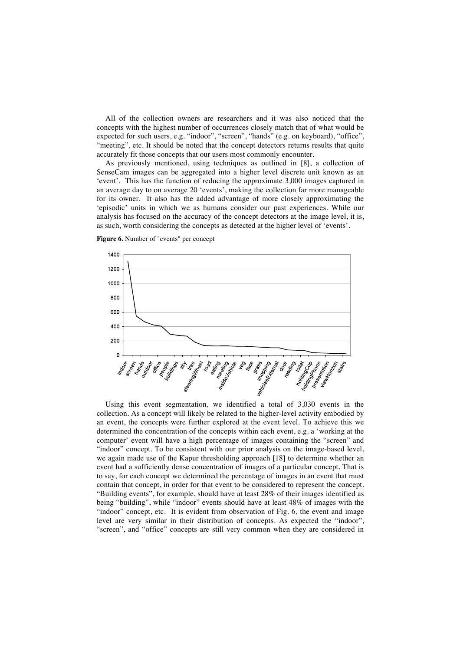All of the collection owners are researchers and it was also noticed that the concepts with the highest number of occurrences closely match that of what would be expected for such users, e.g. "indoor", "screen", "hands" (e.g. on keyboard), "office", "meeting", etc. It should be noted that the concept detectors returns results that quite accurately fit those concepts that our users most commonly encounter.

As previously mentioned, using techniques as outlined in [8], a collection of SenseCam images can be aggregated into a higher level discrete unit known as an 'event'. This has the function of reducing the approximate 3,000 images captured in an average day to on average 20 'events', making the collection far more manageable for its owner. It also has the added advantage of more closely approximating the 'episodic' units in which we as humans consider our past experiences. While our analysis has focused on the accuracy of the concept detectors at the image level, it is, as such, worth considering the concepts as detected at the higher level of 'events'.





Using this event segmentation, we identified a total of 3,030 events in the collection. As a concept will likely be related to the higher-level activity embodied by an event, the concepts were further explored at the event level. To achieve this we determined the concentration of the concepts within each event, e.g. a 'working at the computer' event will have a high percentage of images containing the "screen" and "indoor" concept. To be consistent with our prior analysis on the image-based level, we again made use of the Kapur thresholding approach [18] to determine whether an event had a sufficiently dense concentration of images of a particular concept. That is to say, for each concept we determined the percentage of images in an event that must contain that concept, in order for that event to be considered to represent the concept. "Building events", for example, should have at least 28% of their images identified as being "building", while "indoor" events should have at least 48% of images with the "indoor" concept, etc. It is evident from observation of Fig. 6, the event and image level are very similar in their distribution of concepts. As expected the "indoor", "screen", and "office" concepts are still very common when they are considered in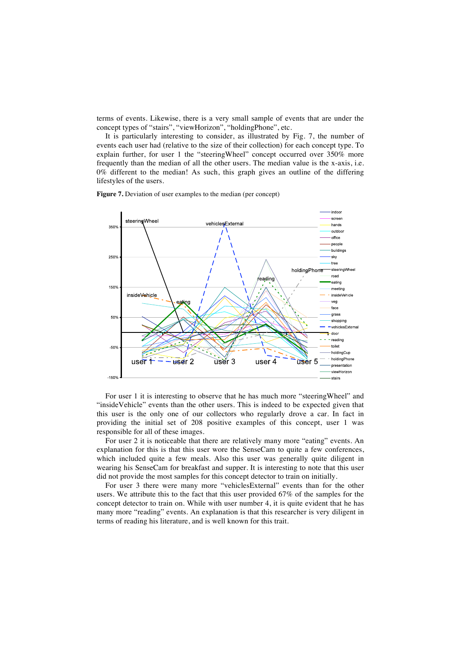terms of events. Likewise, there is a very small sample of events that are under the concept types of "stairs", "viewHorizon", "holdingPhone", etc.

It is particularly interesting to consider, as illustrated by Fig. 7, the number of events each user had (relative to the size of their collection) for each concept type. To explain further, for user 1 the "steeringWheel" concept occurred over 350% more frequently than the median of all the other users. The median value is the x-axis, i.e. 0% different to the median! As such, this graph gives an outline of the differing lifestyles of the users.

**Figure 7.** Deviation of user examples to the median (per concept)



For user 1 it is interesting to observe that he has much more "steeringWheel" and "insideVehicle" events than the other users. This is indeed to be expected given that this user is the only one of our collectors who regularly drove a car. In fact in providing the initial set of 208 positive examples of this concept, user 1 was responsible for all of these images.

For user 2 it is noticeable that there are relatively many more "eating" events. An explanation for this is that this user wore the SenseCam to quite a few conferences, which included quite a few meals. Also this user was generally quite diligent in wearing his SenseCam for breakfast and supper. It is interesting to note that this user did not provide the most samples for this concept detector to train on initially.

For user 3 there were many more "vehiclesExternal" events than for the other users. We attribute this to the fact that this user provided 67% of the samples for the concept detector to train on. While with user number 4, it is quite evident that he has many more "reading" events. An explanation is that this researcher is very diligent in terms of reading his literature, and is well known for this trait.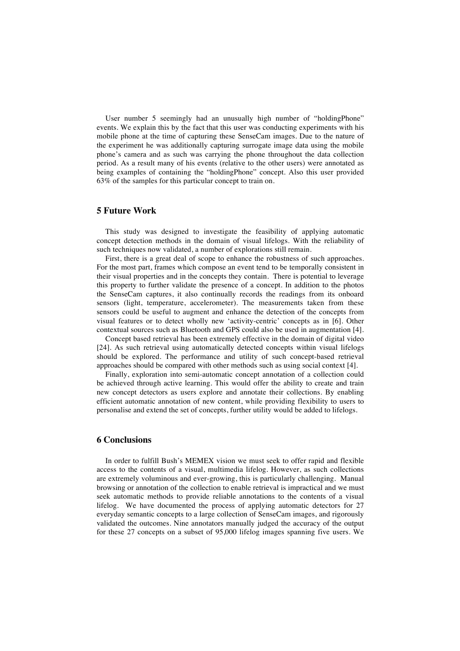User number 5 seemingly had an unusually high number of "holdingPhone" events. We explain this by the fact that this user was conducting experiments with his mobile phone at the time of capturing these SenseCam images. Due to the nature of the experiment he was additionally capturing surrogate image data using the mobile phone's camera and as such was carrying the phone throughout the data collection period. As a result many of his events (relative to the other users) were annotated as being examples of containing the "holdingPhone" concept. Also this user provided 63% of the samples for this particular concept to train on.

### **5 Future Work**

This study was designed to investigate the feasibility of applying automatic concept detection methods in the domain of visual lifelogs. With the reliability of such techniques now validated, a number of explorations still remain.

First, there is a great deal of scope to enhance the robustness of such approaches. For the most part, frames which compose an event tend to be temporally consistent in their visual properties and in the concepts they contain. There is potential to leverage this property to further validate the presence of a concept. In addition to the photos the SenseCam captures, it also continually records the readings from its onboard sensors (light, temperature, accelerometer). The measurements taken from these sensors could be useful to augment and enhance the detection of the concepts from visual features or to detect wholly new 'activity-centric' concepts as in [6]. Other contextual sources such as Bluetooth and GPS could also be used in augmentation [4].

Concept based retrieval has been extremely effective in the domain of digital video [24]. As such retrieval using automatically detected concepts within visual lifelogs should be explored. The performance and utility of such concept-based retrieval approaches should be compared with other methods such as using social context [4].

Finally, exploration into semi-automatic concept annotation of a collection could be achieved through active learning. This would offer the ability to create and train new concept detectors as users explore and annotate their collections. By enabling efficient automatic annotation of new content, while providing flexibility to users to personalise and extend the set of concepts, further utility would be added to lifelogs.

### **6 Conclusions**

In order to fulfill Bush's MEMEX vision we must seek to offer rapid and flexible access to the contents of a visual, multimedia lifelog. However, as such collections are extremely voluminous and ever-growing, this is particularly challenging. Manual browsing or annotation of the collection to enable retrieval is impractical and we must seek automatic methods to provide reliable annotations to the contents of a visual lifelog. We have documented the process of applying automatic detectors for 27 everyday semantic concepts to a large collection of SenseCam images, and rigorously validated the outcomes. Nine annotators manually judged the accuracy of the output for these 27 concepts on a subset of 95,000 lifelog images spanning five users. We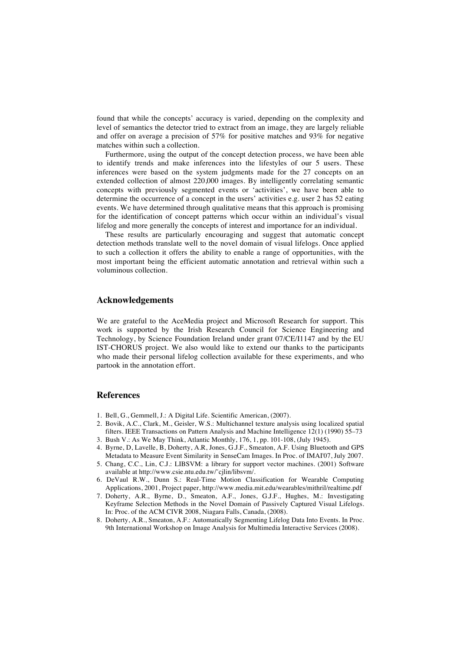found that while the concepts' accuracy is varied, depending on the complexity and level of semantics the detector tried to extract from an image, they are largely reliable and offer on average a precision of 57% for positive matches and 93% for negative matches within such a collection.

Furthermore, using the output of the concept detection process, we have been able to identify trends and make inferences into the lifestyles of our 5 users. These inferences were based on the system judgments made for the 27 concepts on an extended collection of almost 220,000 images. By intelligently correlating semantic concepts with previously segmented events or 'activities', we have been able to determine the occurrence of a concept in the users' activities e.g. user 2 has 52 eating events. We have determined through qualitative means that this approach is promising for the identification of concept patterns which occur within an individual's visual lifelog and more generally the concepts of interest and importance for an individual.

These results are particularly encouraging and suggest that automatic concept detection methods translate well to the novel domain of visual lifelogs. Once applied to such a collection it offers the ability to enable a range of opportunities, with the most important being the efficient automatic annotation and retrieval within such a voluminous collection.

## **Acknowledgements**

We are grateful to the AceMedia project and Microsoft Research for support. This work is supported by the Irish Research Council for Science Engineering and Technology, by Science Foundation Ireland under grant 07/CE/I1147 and by the EU IST-CHORUS project. We also would like to extend our thanks to the participants who made their personal lifelog collection available for these experiments, and who partook in the annotation effort.

#### **References**

- 1. Bell, G., Gemmell, J.: A Digital Life. Scientific American, (2007).
- 2. Bovik, A.C., Clark, M., Geisler, W.S.: Multichannel texture analysis using localized spatial filters. IEEE Transactions on Pattern Analysis and Machine Intelligence 12(1) (1990) 55–73
- 3. Bush V.: As We May Think, Atlantic Monthly, 176, 1, pp. 101-108, (July 1945).
- 4. Byrne, D, Lavelle, B, Doherty, A.R, Jones, G.J.F., Smeaton, A.F. Using Bluetooth and GPS Metadata to Measure Event Similarity in SenseCam Images. In Proc. of IMAI'07, July 2007.
- 5. Chang, C.C., Lin, C.J.: LIBSVM: a library for support vector machines. (2001) Software available at http://www.csie.ntu.edu.tw/˜cjlin/libsvm/.
- 6. DeVaul R.W., Dunn S.: Real-Time Motion Classification for Wearable Computing Applications, 2001, Project paper, http://www.media.mit.edu/wearables/mithril/realtime.pdf
- 7. Doherty, A.R., Byrne, D., Smeaton, A.F., Jones, G.J.F., Hughes, M.: Investigating Keyframe Selection Methods in the Novel Domain of Passively Captured Visual Lifelogs. In: Proc. of the ACM CIVR 2008, Niagara Falls, Canada, (2008).
- 8. Doherty, A.R., Smeaton, A.F.: Automatically Segmenting Lifelog Data Into Events. In Proc. 9th International Workshop on Image Analysis for Multimedia Interactive Services (2008).